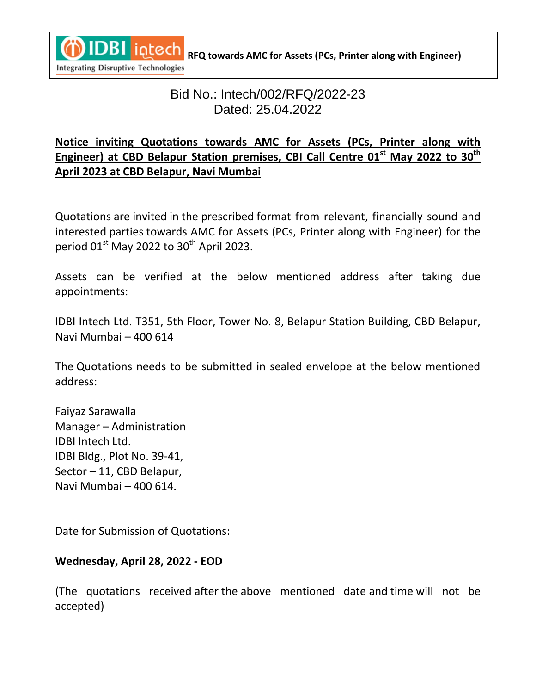

**REQ towards AMC for Assets (PCs, Printer along with Engineer) REQ towards AMC for Assets (PCs, Printer along with Engineer)** 

## **Integrating Disruptive Technologies**

# Bid No.: Intech/002/RFQ/2022-23 Dated: 25.04.2022

## **Notice inviting Quotations towards AMC for Assets (PCs, Printer along with Engineer) at CBD Belapur Station premises, CBI Call Centre 01st May 2022 to 30 th April 2023 at CBD Belapur, Navi Mumbai**

Quotations are invited in the prescribed format from relevant, financially sound and interested parties towards AMC for Assets (PCs, Printer along with Engineer) for the period 01 $^{\rm st}$  May 2022 to 30<sup>th</sup> April 2023.

Assets can be verified at the below mentioned address after taking due appointments:

IDBI Intech Ltd. T351, 5th Floor, Tower No. 8, Belapur Station Building, CBD Belapur, Navi Mumbai – 400 614

The Quotations needs to be submitted in sealed envelope at the below mentioned address:

Faiyaz Sarawalla Manager – Administration IDBI Intech Ltd. IDBI Bldg., Plot No. 39-41, Sector – 11, CBD Belapur, Navi Mumbai – 400 614.

Date for Submission of Quotations:

## **Wednesday, April 28, 2022 - EOD**

(The quotations received after the above mentioned date and time will not be accepted)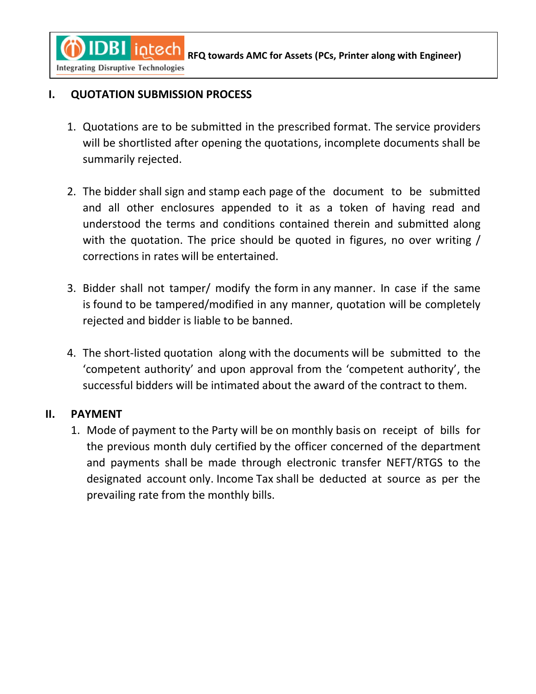**REQ THEOREM AREAD REGISTER AMC for Assets (PCs, Printer along with Engineer)** 

**Integrating Disruptive Technologies** 

 $\mathbf{C}$ 

## **I. QUOTATION SUBMISSION PROCESS**

- 1. Quotations are to be submitted in the prescribed format. The service providers will be shortlisted after opening the quotations, incomplete documents shall be summarily rejected.
- 2. The bidder shall sign and stamp each page of the document to be submitted and all other enclosures appended to it as a token of having read and understood the terms and conditions contained therein and submitted along with the quotation. The price should be quoted in figures, no over writing / corrections in rates will be entertained.
- 3. Bidder shall not tamper/ modify the form in any manner. In case if the same is found to be tampered/modified in any manner, quotation will be completely rejected and bidder is liable to be banned.
- 4. The short-listed quotation along with the documents will be submitted to the 'competent authority' and upon approval from the 'competent authority', the successful bidders will be intimated about the award of the contract to them.

## **II. PAYMENT**

1. Mode of payment to the Party will be on monthly basis on receipt of bills for the previous month duly certified by the officer concerned of the department and payments shall be made through electronic transfer NEFT/RTGS to the designated account only. Income Tax shall be deducted at source as per the prevailing rate from the monthly bills.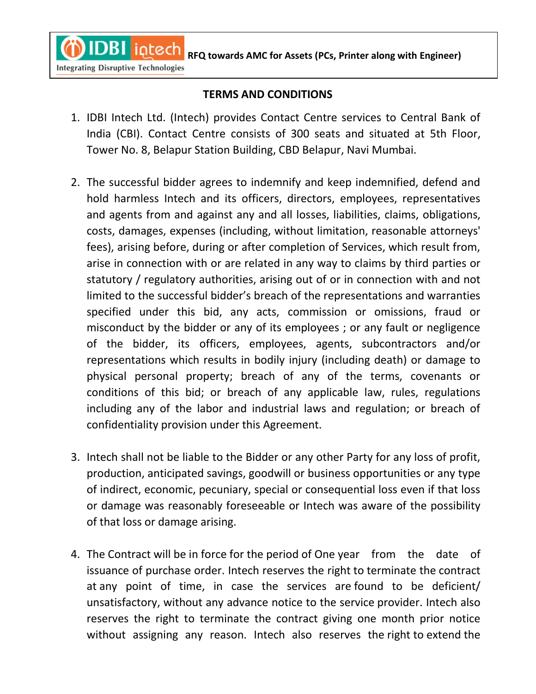**RFQ towards AMC for Assets (PCs, Printer along with Engineer)** 

### **Integrating Disruptive Technologies**

 $\mathbf{C}$ 

#### **TERMS AND CONDITIONS**

- 1. IDBI Intech Ltd. (Intech) provides Contact Centre services to Central Bank of India (CBI). Contact Centre consists of 300 seats and situated at 5th Floor, Tower No. 8, Belapur Station Building, CBD Belapur, Navi Mumbai.
- 2. The successful bidder agrees to indemnify and keep indemnified, defend and hold harmless Intech and its officers, directors, employees, representatives and agents from and against any and all losses, liabilities, claims, obligations, costs, damages, expenses (including, without limitation, reasonable attorneys' fees), arising before, during or after completion of Services, which result from, arise in connection with or are related in any way to claims by third parties or statutory / regulatory authorities, arising out of or in connection with and not limited to the successful bidder's breach of the representations and warranties specified under this bid, any acts, commission or omissions, fraud or misconduct by the bidder or any of its employees ; or any fault or negligence of the bidder, its officers, employees, agents, subcontractors and/or representations which results in bodily injury (including death) or damage to physical personal property; breach of any of the terms, covenants or conditions of this bid; or breach of any applicable law, rules, regulations including any of the labor and industrial laws and regulation; or breach of confidentiality provision under this Agreement.
- 3. Intech shall not be liable to the Bidder or any other Party for any loss of profit, production, anticipated savings, goodwill or business opportunities or any type of indirect, economic, pecuniary, special or consequential loss even if that loss or damage was reasonably foreseeable or Intech was aware of the possibility of that loss or damage arising.
- 4. The Contract will be in force for the period of One year from the date of issuance of purchase order. Intech reserves the right to terminate the contract at any point of time, in case the services are found to be deficient/ unsatisfactory, without any advance notice to the service provider. Intech also reserves the right to terminate the contract giving one month prior notice without assigning any reason. Intech also reserves the right to extend the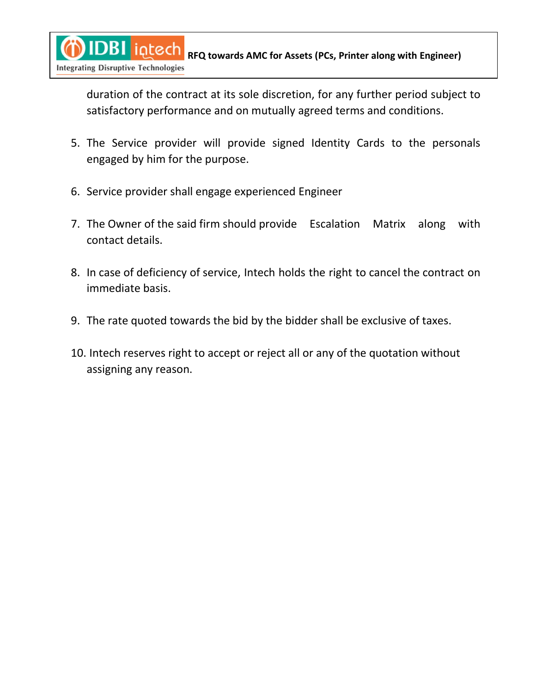**REQ towards AMC for Assets (PCs, Printer along with Engineer) REQ towards AMC for Assets (PCs, Printer along with Engineer)**  $\mathbf{C}$ **Integrating Disruptive Technologies** 

duration of the contract at its sole discretion, for any further period subject to satisfactory performance and on mutually agreed terms and conditions.

- 5. The Service provider will provide signed Identity Cards to the personals engaged by him for the purpose.
- 6. Service provider shall engage experienced Engineer
- 7. The Owner of the said firm should provide Escalation Matrix along with contact details.
- 8. In case of deficiency of service, Intech holds the right to cancel the contract on immediate basis.
- 9. The rate quoted towards the bid by the bidder shall be exclusive of taxes.
- 10. Intech reserves right to accept or reject all or any of the quotation without assigning any reason.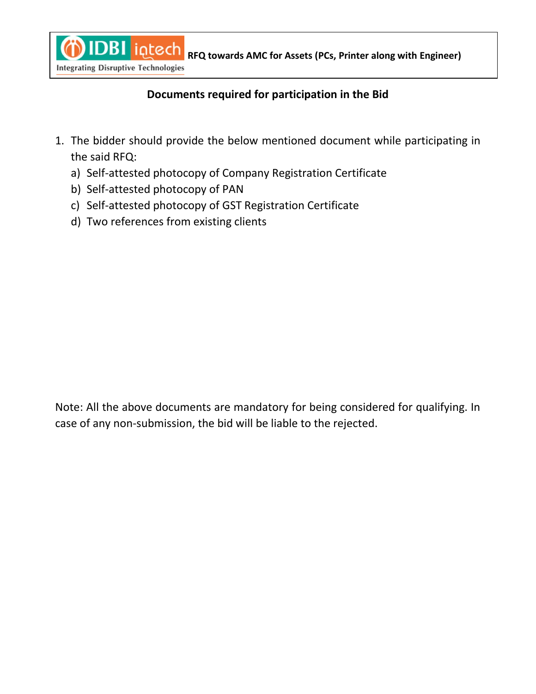

**REQ THEOREM AND REGISTER AMC for Assets (PCs, Printer along with Engineer)** 

## **Documents required for participation in the Bid**

- 1. The bidder should provide the below mentioned document while participating in the said RFQ:
	- a) Self-attested photocopy of Company Registration Certificate
	- b) Self-attested photocopy of PAN
	- c) Self-attested photocopy of GST Registration Certificate
	- d) Two references from existing clients

Note: All the above documents are mandatory for being considered for qualifying. In case of any non-submission, the bid will be liable to the rejected.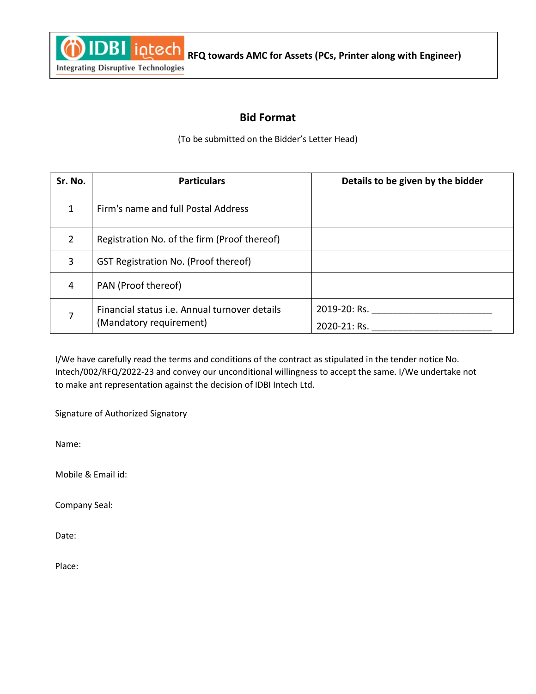

## **Integrating Disruptive Technologies**

### **Bid Format**

(To be submitted on the Bidder's Letter Head)

| Sr. No.        | <b>Particulars</b>                                                       | Details to be given by the bidder |
|----------------|--------------------------------------------------------------------------|-----------------------------------|
| 1              | Firm's name and full Postal Address                                      |                                   |
| $\overline{2}$ | Registration No. of the firm (Proof thereof)                             |                                   |
| 3              | GST Registration No. (Proof thereof)                                     |                                   |
| $\overline{4}$ | PAN (Proof thereof)                                                      |                                   |
| 7              | Financial status i.e. Annual turnover details<br>(Mandatory requirement) | 2019-20: Rs.                      |
|                |                                                                          | 2020-21: Rs.                      |

I/We have carefully read the terms and conditions of the contract as stipulated in the tender notice No. Intech/002/RFQ/2022-23 and convey our unconditional willingness to accept the same. I/We undertake not to make ant representation against the decision of IDBI Intech Ltd.

Signature of Authorized Signatory

Name:

Mobile & Email id:

Company Seal:

Date:

Place: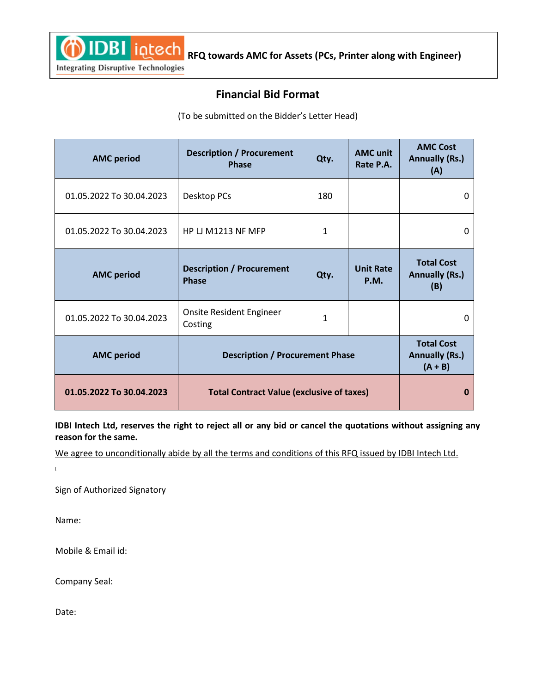**REQ THEOREM AND REGULARY ANCES AMC for Assets (PCs, Printer along with Engineer)** 

### **Integrating Disruptive Technologies**

## **Financial Bid Format**

(To be submitted on the Bidder's Letter Head)

| <b>AMC</b> period        | <b>Description / Procurement</b><br><b>Phase</b> | Qty.                                                    | <b>AMC</b> unit<br>Rate P.A.    | <b>AMC Cost</b><br><b>Annually (Rs.)</b><br>(A)   |
|--------------------------|--------------------------------------------------|---------------------------------------------------------|---------------------------------|---------------------------------------------------|
| 01.05.2022 To 30.04.2023 | Desktop PCs                                      | 180                                                     |                                 | 0                                                 |
| 01.05.2022 To 30.04.2023 | HP LJ M1213 NF MFP                               | 1                                                       |                                 | 0                                                 |
| <b>AMC</b> period        | <b>Description / Procurement</b><br><b>Phase</b> | Qty.                                                    | <b>Unit Rate</b><br><b>P.M.</b> | <b>Total Cost</b><br><b>Annually (Rs.)</b><br>(B) |
| 01.05.2022 To 30.04.2023 | Onsite Resident Engineer<br>Costing              | 1                                                       |                                 | $\Omega$                                          |
| <b>AMC</b> period        | <b>Description / Procurement Phase</b>           | <b>Total Cost</b><br><b>Annually (Rs.)</b><br>$(A + B)$ |                                 |                                                   |
| 01.05.2022 To 30.04.2023 | <b>Total Contract Value (exclusive of taxes)</b> |                                                         |                                 | 0                                                 |

**IDBI Intech Ltd, reserves the right to reject all or any bid or cancel the quotations without assigning any reason for the same.**

We agree to unconditionally abide by all the terms and conditions of this RFQ issued by IDBI Intech Ltd.

 $\mathbf{r}$ 

Sign of Authorized Signatory

Name:

Mobile & Email id:

Company Seal:

Date: